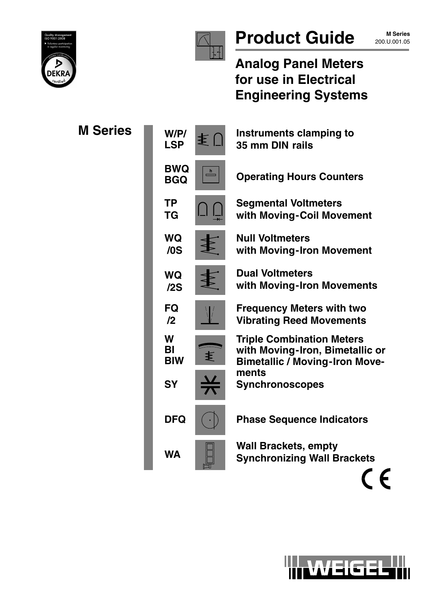



# Product Guide 200.U.001.05

**M Series**

**Analog Panel Meters for use in Electrical Engineering Systems**

| <b>M</b> Series | W/P/<br>ま〔<br><b>LSP</b>                                 | Instruments clamping to<br>35 mm DIN rails                                                                   |
|-----------------|----------------------------------------------------------|--------------------------------------------------------------------------------------------------------------|
|                 | <b>BWQ</b><br>$\overset{\text{h}}{\equiv}$<br><b>BGQ</b> | <b>Operating Hours Counters</b>                                                                              |
|                 | <b>TP</b><br><b>TG</b>                                   | <b>Segmental Voltmeters</b><br>with Moving-Coil Movement                                                     |
|                 | <b>WQ</b><br>/0S                                         | <b>Null Voltmeters</b><br>with Moving-Iron Movement                                                          |
|                 | <b>WQ</b><br>/2S                                         | <b>Dual Voltmeters</b><br>with Moving-Iron Movements                                                         |
|                 | <b>FQ</b><br>$\mathbf{12}$                               | <b>Frequency Meters with two</b><br><b>Vibrating Reed Movements</b>                                          |
|                 | W<br>BI<br>≸<br><b>BIW</b>                               | <b>Triple Combination Meters</b><br>with Moving-Iron, Bimetallic or<br><b>Bimetallic / Moving-Iron Move-</b> |
|                 | <b>SY</b>                                                | ments<br><b>Synchronoscopes</b>                                                                              |
|                 | <b>DFQ</b>                                               | <b>Phase Sequence Indicators</b>                                                                             |
|                 | <b>WA</b>                                                | <b>Wall Brackets, empty</b><br><b>Synchronizing Wall Brackets</b>                                            |
|                 |                                                          |                                                                                                              |

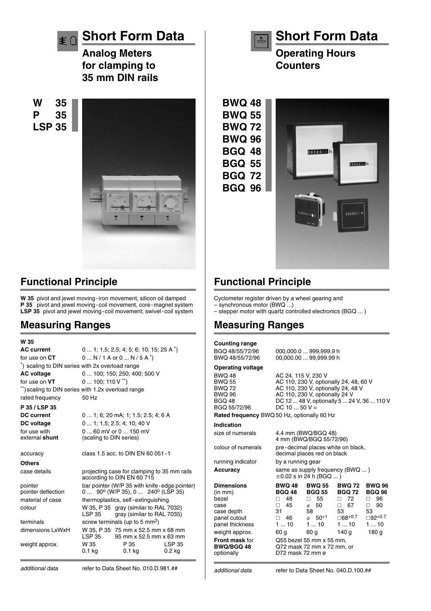

**Analog Meters for clamping to 35 mm DIN rails**

**W 35 P 35 LSP 35**



### **Functional Principle**

**W 35** pivot and jewel moving-iron movement, silicon oil damped **P 35** pivot and jewel moving-coil movement, core-magnet system LSP 35 pivot and jewel moving-coil movement; swivel-coil system

#### **Measuring Ranges**

| W 35                                               |                                         |                                                                                                             |                                    |  |
|----------------------------------------------------|-----------------------------------------|-------------------------------------------------------------------------------------------------------------|------------------------------------|--|
| <b>AC</b> current                                  | $0 1; 1,5; 2,5; 4; 5; 6; 10; 15; 25 A)$ |                                                                                                             |                                    |  |
| for use on <b>CT</b>                               | $0N/1$ A or $0N/5$ A $\check{O}$        |                                                                                                             |                                    |  |
| *) scaling to DIN series with 2x overload range    |                                         |                                                                                                             |                                    |  |
| <b>AC voltage</b>                                  | 0  100; 150; 250; 400; 500 V            |                                                                                                             |                                    |  |
| for use on VT                                      | $0100;110V$ <sup>**</sup> )             |                                                                                                             |                                    |  |
| **) scaling to DIN series with 1.2x overload range |                                         |                                                                                                             |                                    |  |
| rated frequency                                    | 50 Hz                                   |                                                                                                             |                                    |  |
| P 35 / LSP 35                                      |                                         |                                                                                                             |                                    |  |
| <b>DC</b> current                                  |                                         | 0  1; 6; 20 mA; 1; 1.5; 2.5; 4; 6 A                                                                         |                                    |  |
| DC voltage                                         |                                         | $0$ 1; 1.5; 2.5; 4; 10; 40 V                                                                                |                                    |  |
| for use with                                       |                                         | $060$ mV or $0150$ mV                                                                                       |                                    |  |
| external shunt                                     | (scaling to DIN series)                 |                                                                                                             |                                    |  |
| accuracy                                           |                                         | class 1.5 acc. to DIN EN 60 051 - 1                                                                         |                                    |  |
| <b>Others</b>                                      |                                         |                                                                                                             |                                    |  |
| case details                                       |                                         | projecting case for clamping to 35 mm rails<br>according to DIN EN 60 715                                   |                                    |  |
| pointer<br>pointer deflection                      |                                         | bar pointer (W/P 35 with knife-edge pointer)<br>$0$ 90 <sup>o</sup> (W/P 35), $0$ 240 <sup>o</sup> (LSP 35) |                                    |  |
| material of case                                   |                                         | thermoplastics, self-extinguishing                                                                          |                                    |  |
| colour                                             | <b>LSP 35</b>                           | W 35, P 35 gray (similar to RAL 7032)<br>gray (similar to RAL 7035)                                         |                                    |  |
| terminals                                          |                                         | screw terminals (up to 5 mm <sup>2</sup> )                                                                  |                                    |  |
| dimensions LxWxH                                   | LSP 35                                  | W 35, P 35 75 mm x 52.5 mm x 68 mm<br>95 mm x 52.5 mm x 63 mm                                               |                                    |  |
| weight approx.                                     | W 35<br>0.1 kg                          | P 35<br>0.1 kg                                                                                              | <b>LSP 35</b><br>0.2 <sub>kq</sub> |  |



**Operating Hours Counters**

**BGQ 96**



# **Functional Principle**

Cyclometer register driven by a wheel gearing and – synchronous motor (BWQ ...)

– stepper motor with quartz controlled electronics (BGQ ... )

### **Measuring Ranges**

| <b>Counting range</b>                                                                                            |                                                                                                                                                                                                        |                                                                                                          |                                                                                                    |                                                                                               |  |
|------------------------------------------------------------------------------------------------------------------|--------------------------------------------------------------------------------------------------------------------------------------------------------------------------------------------------------|----------------------------------------------------------------------------------------------------------|----------------------------------------------------------------------------------------------------|-----------------------------------------------------------------------------------------------|--|
| BGQ 48/55/72/96<br>BWQ 48/55/72/96                                                                               | 000,000.0  999,999.9 h<br>00,000.00  99,999.99 h                                                                                                                                                       |                                                                                                          |                                                                                                    |                                                                                               |  |
| <b>Operating voltage</b>                                                                                         |                                                                                                                                                                                                        |                                                                                                          |                                                                                                    |                                                                                               |  |
| <b>BWQ 48</b><br><b>BWQ 55</b><br><b>BWQ 72</b><br><b>BWQ 96</b><br><b>BGQ 48</b><br>BGQ 55/72/96                | AC 24, 115 V, 230 V<br>AC 110, 230 V, optionally 24, 48, 60 V<br>AC 110, 230 V, optionally 24, 48 V<br>AC 110, 230 V, optionally 24 V<br>DC 12  48 V, optionally 5  24 V, 36  110 V<br>DC 10  50 $V =$ |                                                                                                          |                                                                                                    |                                                                                               |  |
| Rated frequency BWQ 50 Hz, optionally 60 Hz                                                                      |                                                                                                                                                                                                        |                                                                                                          |                                                                                                    |                                                                                               |  |
| Indication                                                                                                       |                                                                                                                                                                                                        |                                                                                                          |                                                                                                    |                                                                                               |  |
| size of numerals                                                                                                 |                                                                                                                                                                                                        | 4.4 mm (BWQ/BGQ 48)<br>4 mm (BWQ/BGQ 55/72/96)                                                           |                                                                                                    |                                                                                               |  |
| colour of numerals                                                                                               | pre-decimal places white on black,<br>decimal places red on black                                                                                                                                      |                                                                                                          |                                                                                                    |                                                                                               |  |
| running indicator                                                                                                |                                                                                                                                                                                                        | by a running gear                                                                                        |                                                                                                    |                                                                                               |  |
| Accuracy                                                                                                         | same as supply frequency (BWQ )<br>$\pm 0.02$ s in 24 h (BGQ )                                                                                                                                         |                                                                                                          |                                                                                                    |                                                                                               |  |
| <b>Dimensions</b><br>(in mm)<br>bezel<br>case<br>case depth<br>panel cutout<br>panel thickness<br>weight approx. | <b>BWQ 48</b><br><b>BGQ 48</b><br>$\Box$ 48<br>45<br>$\Box$<br>31<br>$\Box$ 46<br>110<br>60 g                                                                                                          | <b>BWQ 55</b><br><b>BGQ 55</b><br>$\Box$ 55<br>$\phi$ 50<br>58<br>$\phi$ 50 <sup>+1</sup><br>110<br>60 g | <b>BWQ 72</b><br><b>BGQ 72</b><br>$\Box$ 72<br>$\Box$ 67<br>53<br>$\Box 68^{+0.7}$<br>110<br>140 g | <b>BWQ 96</b><br><b>BGQ 96</b><br>□ 96<br>90<br>$\Box$<br>53<br>$\Box$ 92+0.7<br>110<br>180 g |  |
| <b>Front mask for</b><br><b>BWQ/BGQ 48</b><br>optionally                                                         | Q55 bezel 55 mm x 55 mm,<br>Q72 mask 72 mm x 72 mm, or<br>D72 mask 72 mm ø                                                                                                                             |                                                                                                          |                                                                                                    |                                                                                               |  |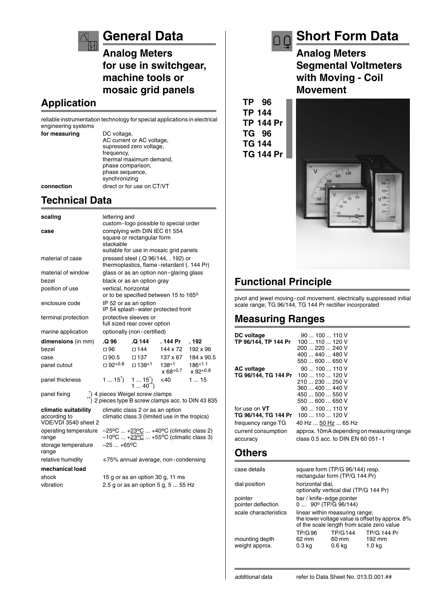

# **General Data**

**Analog Meters for use in switchgear, machine tools or mosaic grid panels**

### **Application**

reliable instrumentation technology for special applications in electrical engineering systems

**for measuring** DC voltage,

AC current or AC voltage, supressed zero voltage, frequency, thermal maximum demand, phase comparison, phase sequence, synchronizing **connection** direct or for use on CT/VT

### **Technical Data**

| scaling                                                      | lettering and<br>custom-logo possible to special order                                                                                        |                                                    |                                         |                                                                                        |  |
|--------------------------------------------------------------|-----------------------------------------------------------------------------------------------------------------------------------------------|----------------------------------------------------|-----------------------------------------|----------------------------------------------------------------------------------------|--|
| case                                                         | complying with DIN IEC 61 554<br>square or rectangular form<br>stackable<br>suitable for use in mosaic grid panels                            |                                                    |                                         |                                                                                        |  |
| material of case                                             | pressed steel (.Q 96/144, . 192) or<br>thermoplastics, flame - retardant (. 144 Pr)                                                           |                                                    |                                         |                                                                                        |  |
| material of window                                           |                                                                                                                                               |                                                    | glass or as an option non-glaring glass |                                                                                        |  |
| bezel                                                        |                                                                                                                                               | black or as an option gray                         |                                         |                                                                                        |  |
| position of use                                              | vertical, horizontal                                                                                                                          |                                                    | or to be specified between 15 to 165°   |                                                                                        |  |
| enclosure code                                               | IP 52 or as an option                                                                                                                         |                                                    | IP 54 splash - water protected front    |                                                                                        |  |
| terminal protection                                          | protective sleeves or<br>full sized rear cover option                                                                                         |                                                    |                                         |                                                                                        |  |
| marine application                                           |                                                                                                                                               | optionally (non-certified)                         |                                         |                                                                                        |  |
| dimensions (in mm)                                           | .Q 96                                                                                                                                         | .Q 144                                             | . 144 Pr                                | . 192                                                                                  |  |
| bezel                                                        | $\Box$ 96                                                                                                                                     | $\square$ 144                                      | 144 x 72                                | 192 x 96                                                                               |  |
| case                                                         |                                                                                                                                               | $\Box$ 90.5 $\Box$ 137                             | 137 x 67                                | 184 x 90.5                                                                             |  |
| panel cutout                                                 |                                                                                                                                               | $\Box$ 92 <sup>+0.8</sup> $\Box$ 138 <sup>+1</sup> | $138+1$<br>$x 68^{+0.7}$ $x 92^{+0.8}$  | $186+1.1$                                                                              |  |
| panel thickness                                              | 1 $15^{\circ}$ 1 $15^{\circ}$<br>1 $40^{\circ}$                                                                                               |                                                    | $\leq 40$                               | 115                                                                                    |  |
| panel fixing                                                 |                                                                                                                                               |                                                    |                                         | *) 4 pieces Weigel screw clamps<br>**) 2 pieces type B screw clamps acc. to DIN 43 835 |  |
| climatic suitability<br>according to<br>VDE/VDI 3540 sheet 2 | climatic class 2 or as an option<br>climatic class 3 (limited use in the tropics)                                                             |                                                    |                                         |                                                                                        |  |
| operating temperature<br>range                               | $-25^{\circ}$ C  +23 $^{\circ}$ C  +40 $^{\circ}$ C (climatic class 2)<br>$-10^{\circ}$ C  + $\frac{23^{\circ}C}{2}$ +55°C (climatic class 3) |                                                    |                                         |                                                                                        |  |
| storage temperature<br>range                                 | $-25+65$ °C                                                                                                                                   |                                                    |                                         |                                                                                        |  |
| relative humidity                                            | ≤75% annual average, non-condensing                                                                                                           |                                                    |                                         |                                                                                        |  |
| mechanical load                                              |                                                                                                                                               |                                                    |                                         |                                                                                        |  |
| shock                                                        |                                                                                                                                               | 15 g or as an option 30 g, 11 ms                   |                                         |                                                                                        |  |
| vibration                                                    | 2.5 g or as an option 5 g, 5  55 Hz                                                                                                           |                                                    |                                         |                                                                                        |  |

**TP 96 TP 144 TP 144 Pr TG 96 TG 144 TG 144 Pr**

# **Short Form Data**

**Analog Meters Segmental Voltmeters with Moving - Coil Movement**



# **Functional Principle**

pivot and jewel moving-coil movement, electrically suppressed initial scale range; TG 96/144, TG 144 Pr rectifier incorporated

### **Measuring Ranges**

| 400  440  480 V<br>550  600  650 V                               |  |
|------------------------------------------------------------------|--|
| 90100110V<br><b>AC</b> voltage                                   |  |
| TG 96/144, TG 144 Pr 100  110  120 V                             |  |
| 210  230  250 V                                                  |  |
| 360  400  440 V                                                  |  |
| 450  500  550 V                                                  |  |
| 550  600  650 V                                                  |  |
| for use on VT<br>90100110V                                       |  |
| TG 96/144, TG 144 Pr 100  110  120 V                             |  |
| 40 Hz  50 Hz  65 Hz<br>frequency range TG                        |  |
| approx. 10mA depending on measuring range<br>current consumption |  |
| class 0.5 acc. to DIN EN 60 051 - 1<br>accuracy                  |  |

#### **Others**

| case details                     | square form (TP/G 96/144) resp.<br>rectangular form (TP/G 144 Pr)                                                              |                                              |                                        |  |
|----------------------------------|--------------------------------------------------------------------------------------------------------------------------------|----------------------------------------------|----------------------------------------|--|
| dial position                    | horizontal dial,<br>optionally vertical dial (TP/G 144 Pr)                                                                     |                                              |                                        |  |
| pointer<br>pointer deflection    | bar / knife-edge pointer<br>$0$ 90 $^{\circ}$ (TP/G 96/144)                                                                    |                                              |                                        |  |
| scale characteristics            | linear within measuring range;<br>the lower voltage value is offset by approx. 8%<br>of the scale length from scale zero value |                                              |                                        |  |
| mounting depth<br>weight approx. | <b>TP/G96</b><br>62 mm<br>0.3 kg                                                                                               | <b>TP/G144</b><br>60 mm<br>0.6 <sub>kq</sub> | <b>TP/G 144 Pr</b><br>192 mm<br>1.0 kg |  |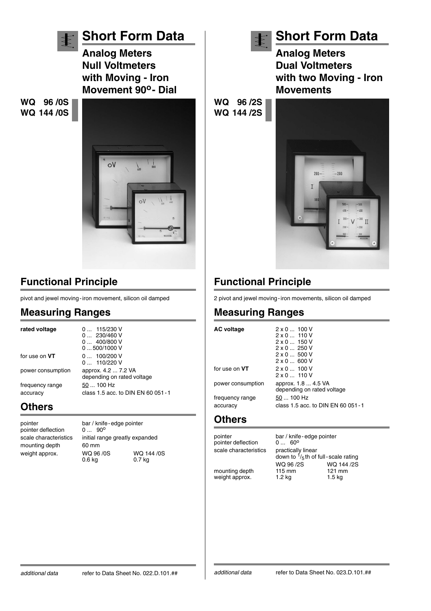

# **Functional Principle**

pivot and jewel moving-iron movement, silicon oil damped

#### **Measuring Ranges**

| rated voltage               | $0$ 115/230 V<br>0 230/460 V<br>0400/800V<br>0500/1000V |
|-----------------------------|---------------------------------------------------------|
| for use on <b>VT</b>        | 0 100/200 V<br>$0$ 110/220 V                            |
| power consumption           | approx. 4.2  7.2 VA<br>depending on rated voltage       |
| frequency range<br>accuracy | 50  100 Hz<br>class 1.5 acc. to DIN EN 60 051 - 1       |

### **Others**

pointer deflection mounting depth 60 mm<br>weight approx. WQ 96 /0S

pointer bar / knife-edge pointer<br>pointer deflection 0... 90° scale characteristics initial range greatly expanded weight approx. WQ 96 /0S WQ 144 /0S<br>0.6 kg 0.7 kg 0.7 kg



# **Short Form Data Analog Meters Dual Voltmeters with two Moving - Iron**

**Movements**





# **Functional Principle**

2 pivot and jewel moving-iron movements, silicon oil damped

# **Measuring Ranges**

| AC voltage           | $2 \times 0$ 100 V<br>$2 \times 0$ 110 V<br>$2 \times 0$ 150 V<br>$2 \times 0$ 250 V<br>$2 \times 0$ 500 V<br>$2 \times 0$ 600 V |
|----------------------|----------------------------------------------------------------------------------------------------------------------------------|
| for use on <b>VT</b> | $2 \times 0$ 100 V<br>$2 \times 0$ 110 V                                                                                         |
| power consumption    | approx. 1.8  4.5 VA<br>depending on rated voltage                                                                                |
| frequency range      | 50  100 Hz                                                                                                                       |
| accuracy             | class 1.5 acc. to DIN EN 60 051 - 1                                                                                              |
|                      |                                                                                                                                  |

#### **Others**

pointer deflection scale characteristics practically linear

pointer bar / knife-edge pointer<br>pointer deflection 0...  $60^{\circ}$ down to  $\frac{1}{5}$ th of full-scale rating<br>WQ 96/2S WQ 144/2S WQ 96 /2S WQ 144 /2S<br>115 mm 121 mm mounting depth 115 mm 121 mm<br>weight approx. 1.2 kg 1.5 kg weight approx. 1.2 kg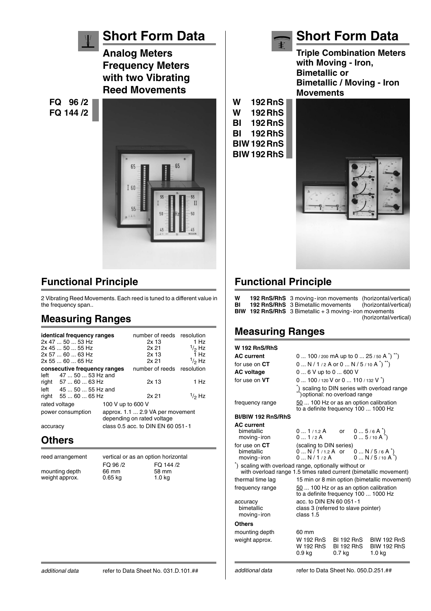

# **Functional Principle**

2 Vibrating Reed Movements. Each reed is tuned to a different value in the frequency span..

### **Measuring Ranges**

|                   | identical frequency ranges<br>2x 47  50  53 Hz<br>$2x$ 45 $\dots$ 50 $\dots$ 55 Hz<br>2x 57  60  63 Hz<br>2x 55  60  65 Hz |                                                                | number of reeds<br>$2x$ 13<br>2x 21<br>2x <sub>13</sub><br>2x <sub>21</sub> | resolution<br>1 Hz<br>$1/2$ Hz<br>1 H <sub>z</sub><br>$1/2$ Hz |
|-------------------|----------------------------------------------------------------------------------------------------------------------------|----------------------------------------------------------------|-----------------------------------------------------------------------------|----------------------------------------------------------------|
|                   | consecutive frequency ranges                                                                                               |                                                                | number of reeds resolution                                                  |                                                                |
|                   | left 47  50  53 Hz and<br>right 57  60  63 Hz                                                                              |                                                                | $2x$ 13                                                                     | 1 Hz                                                           |
|                   | left 45  50  55 Hz and<br>right 55  60  65 Hz                                                                              |                                                                | 2x 21                                                                       | $1/2$ Hz                                                       |
| rated voltage     |                                                                                                                            | 100 V up to 600 V                                              |                                                                             |                                                                |
| power consumption |                                                                                                                            | approx. 1.1  2.9 VA per movement<br>depending on rated voltage |                                                                             |                                                                |
| accuracy          |                                                                                                                            |                                                                | class 0.5 acc. to DIN EN 60 051 - 1                                         |                                                                |

#### **Others**

| reed arrangement                 | vertical or as an option horizontal |                            |  |
|----------------------------------|-------------------------------------|----------------------------|--|
|                                  | FQ 96 /2                            | FQ 144 /2                  |  |
| mounting depth<br>weight approx. | 66 mm<br>$0.65$ kg                  | 58 mm<br>1.0 <sub>kq</sub> |  |
|                                  |                                     |                            |  |

**Triple Combination Meters with Moving - Iron, Bimetallic or Bimetallic / Moving - Iron Movements W 192RnS W 192RhS BI 192RnS**

 $\ddagger$ 



**Short Form Data**

# **Functional Principle**

| W<br>BI | <b>192 RnS/RhS</b> 3 moving-iron movements (horizontal/vertical)<br><b>192 RnS/RhS</b> 3 Bimetallic movements (horizontal/vertical) |                       |
|---------|-------------------------------------------------------------------------------------------------------------------------------------|-----------------------|
|         | <b>BIW 192 RnS/RhS</b> 3 Bimetallic $+3$ moving-iron movements                                                                      |                       |
|         |                                                                                                                                     | (horizontal/vertical) |

### **Measuring Ranges**

| <b>W</b> 192 RnS/RhS                                                                                                       |                                                                                        |                                           |  |                                                    |
|----------------------------------------------------------------------------------------------------------------------------|----------------------------------------------------------------------------------------|-------------------------------------------|--|----------------------------------------------------|
| <b>AC</b> current                                                                                                          | 0  100 / 200 mA up to 0  25 / 50 A $\tilde{ }$ ) $\tilde{ }$ )                         |                                           |  |                                                    |
| for use on CT                                                                                                              | $0 N / 1 / 2 A$ or $0 N / 5 / 10 A^*)$ <sup>**</sup> )                                 |                                           |  |                                                    |
| <b>AC voltage</b>                                                                                                          | $06$ V up to $0600$ V                                                                  |                                           |  |                                                    |
| for use on $VT$                                                                                                            | 0  100 / 120 V or 0  110 / 132 V *)                                                    |                                           |  |                                                    |
|                                                                                                                            | $\tilde{A}$ scaling to DIN series with overload range<br>) optional: no overload range |                                           |  |                                                    |
| frequency range                                                                                                            | 50  100 Hz or as an option calibration<br>to a definite frequency 100  1000 Hz         |                                           |  |                                                    |
| BI/BIW 192 RnS/RhS                                                                                                         |                                                                                        |                                           |  |                                                    |
| <b>AC</b> current<br>bimetallic<br>moving-iron                                                                             | 01/1.2A<br>01/2A                                                                       | or                                        |  | $05/6A^{\prime})$<br>$05/10A^{\dagger})$           |
| for use on CT<br>bimetallic<br>moving-iron                                                                                 | (scaling to DIN series)<br>$0N/1/1.2A$ or<br>0N/1/2A                                   |                                           |  | $0N/5/6A$ <sup>"</sup> )<br>$0N/5/10A^*)$          |
| *) scaling with overload range, optionally without or<br>with overload range 1.5 times rated current (bimetallic movement) |                                                                                        |                                           |  |                                                    |
| thermal time lag                                                                                                           |                                                                                        |                                           |  | 15 min or 8 min option (bimetallic movement)       |
| frequency range                                                                                                            | 50  100 Hz or as an option calibration<br>to a definite frequency 100  1000 Hz         |                                           |  |                                                    |
| accuracy<br>bimetallic<br>moving-iron                                                                                      | acc. to DIN EN 60 051 - 1<br>class 3 (referred to slave pointer)<br>class 1.5          |                                           |  |                                                    |
| Others                                                                                                                     |                                                                                        |                                           |  |                                                    |
| mounting depth<br>weight approx.                                                                                           | 60 mm<br>W 192 RnS<br>W 192 RhS<br>0.9 <sub>kq</sub>                                   | BI 192 RnS<br><b>BI 192 RhS</b><br>0.7 kg |  | <b>BIW 192 RnS</b><br><b>BIW 192 RhS</b><br>1.0 kg |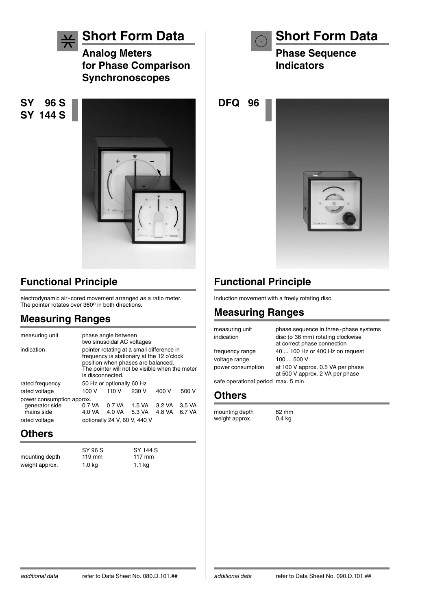

**Short Form Data**

**Analog Meters for Phase Comparison Synchronoscopes**

**SY 96 S SY 144 S**



# **Functional Principle**

electrodynamic air-cored movement arranged as a ratio meter.<br>The pointer rotates over 360º in both directions.

### **Measuring Ranges**

| measuring unit               | phase angle between<br>two sinusoidal AC voltages                                                                                                                                                  |                  |                  |                  |                  |
|------------------------------|----------------------------------------------------------------------------------------------------------------------------------------------------------------------------------------------------|------------------|------------------|------------------|------------------|
| indication                   | pointer rotating at a small difference in<br>frequency is stationary at the 12 o'clock<br>position when phases are balanced.<br>The pointer will not be visible when the meter<br>is disconnected. |                  |                  |                  |                  |
| rated frequency              | 50 Hz or optionally 60 Hz                                                                                                                                                                          |                  |                  |                  |                  |
| rated voltage                | 100 V                                                                                                                                                                                              | 110 V            | 230 V            | 400 V            | 500 V            |
| power consumption approx.    |                                                                                                                                                                                                    |                  |                  |                  |                  |
| generator side<br>mains side | 0.7 VA<br>4.0 VA                                                                                                                                                                                   | 0.7 VA<br>4.0 VA | 1.5 VA<br>5.3 VA | 3.2 VA<br>4.8 VA | 3.5 VA<br>6.7 VA |
| rated voltage                | optionally 24 V, 60 V, 440 V                                                                                                                                                                       |                  |                  |                  |                  |

### **Others**

SY 96 S<br>119 mm 117 mm mounting depth weight approx. 1.0 kg 1.1 kg

**Short Form Data**

**Phase Sequence Indicators**

**DFQ 96**



# **Functional Principle**

Induction movement with a freely rotating disc.

### **Measuring Ranges**

| measuring unit<br>indication       | phase sequence in three-phase systems<br>disc (ø 36 mm) rotating clockwise<br>at correct phase connection |
|------------------------------------|-----------------------------------------------------------------------------------------------------------|
| frequency range                    | 40  100 Hz or 400 Hz on request                                                                           |
| voltage range                      | 100  500 V                                                                                                |
| power consumption                  | at 100 V approx. 0.5 VA per phase<br>at 500 V approx. 2 VA per phase                                      |
| safe operational period max. 5 min |                                                                                                           |

#### **Others**

mounting depth 62 mm<br>weight approx. 0.4 kg weight approx.